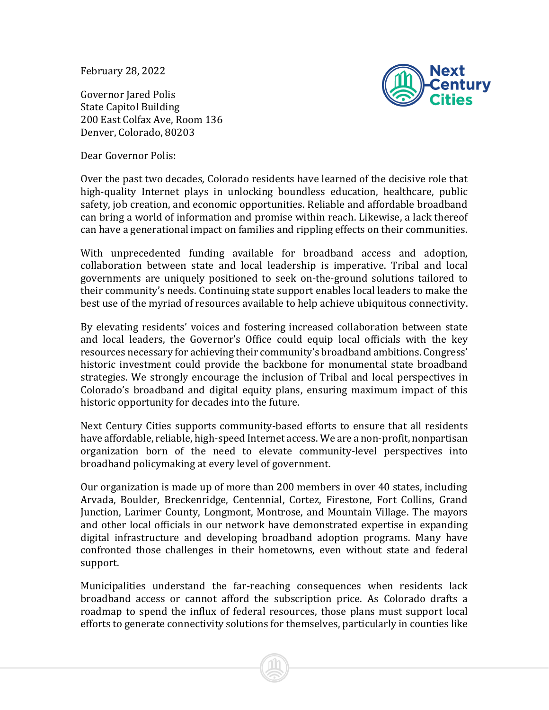February 28, 2022

Governor Jared Polis State Capitol Building 200 East Colfax Ave, Room 136 Denver, Colorado, 80203

Dear Governor Polis:



Over the past two decades, Colorado residents have learned of the decisive role that high-quality Internet plays in unlocking boundless education, healthcare, public safety, job creation, and economic opportunities. Reliable and affordable broadband can bring a world of information and promise within reach. Likewise, a lack thereof can have a generational impact on families and rippling effects on their communities.

With unprecedented funding available for broadband access and adoption, collaboration between state and local leadership is imperative. Tribal and local governments are uniquely positioned to seek on-the-ground solutions tailored to their community's needs. Continuing state support enables local leaders to make the best use of the myriad of resources available to help achieve ubiquitous connectivity.

By elevating residents' voices and fostering increased collaboration between state and local leaders, the Governor's Office could equip local officials with the key resources necessary for achieving their community's broadband ambitions. Congress' historic investment could provide the backbone for monumental state broadband strategies. We strongly encourage the inclusion of Tribal and local perspectives in Colorado's broadband and digital equity plans, ensuring maximum impact of this historic opportunity for decades into the future.

Next Century Cities supports community-based efforts to ensure that all residents have affordable, reliable, high-speed Internet access. We are a non-profit, nonpartisan organization born of the need to elevate community-level perspectives into broadband policymaking at every level of government.

Our organization is made up of more than 200 members in over 40 states, including Arvada, Boulder, Breckenridge, Centennial, Cortez, Firestone, Fort Collins, Grand Junction, Larimer County, Longmont, Montrose, and Mountain Village. The mayors and other local officials in our network have demonstrated expertise in expanding digital infrastructure and developing broadband adoption programs. Many have confronted those challenges in their hometowns, even without state and federal support.

Municipalities understand the far-reaching consequences when residents lack broadband access or cannot afford the subscription price. As Colorado drafts a roadmap to spend the influx of federal resources, those plans must support local efforts to generate connectivity solutions for themselves, particularly in counties like